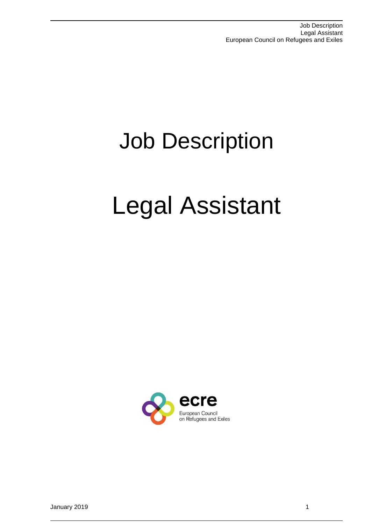# Job Description

# Legal Assistant

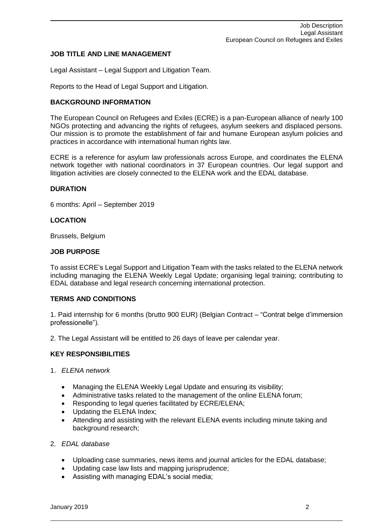# **JOB TITLE AND LINE MANAGEMENT**

Legal Assistant – Legal Support and Litigation Team.

Reports to the Head of Legal Support and Litigation.

# **BACKGROUND INFORMATION**

The European Council on Refugees and Exiles (ECRE) is a pan-European alliance of nearly 100 NGOs protecting and advancing the rights of refugees, asylum seekers and displaced persons. Our mission is to promote the establishment of fair and humane European asylum policies and practices in accordance with international human rights law.

ECRE is a reference for asylum law professionals across Europe, and coordinates the ELENA network together with national coordinators in 37 European countries. Our legal support and litigation activities are closely connected to the ELENA work and the EDAL database.

# **DURATION**

6 months: April – September 2019

# **LOCATION**

Brussels, Belgium

# **JOB PURPOSE**

To assist ECRE's Legal Support and Litigation Team with the tasks related to the ELENA network including managing the ELENA Weekly Legal Update; organising legal training; contributing to EDAL database and legal research concerning international protection.

# **TERMS AND CONDITIONS**

1. Paid internship for 6 months (brutto 900 EUR) (Belgian Contract – "Contrat belge d'immersion professionelle").

2. The Legal Assistant will be entitled to 26 days of leave per calendar year.

#### **KEY RESPONSIBILITIES**

- 1. *ELENA network*
	- Managing the ELENA Weekly Legal Update and ensuring its visibility;
	- Administrative tasks related to the management of the online ELENA forum;
	- Responding to legal queries facilitated by ECRE/ELENA;
	- Updating the ELENA Index;
	- Attending and assisting with the relevant ELENA events including minute taking and background research;
- 2. *EDAL database*
	- Uploading case summaries, news items and journal articles for the EDAL database;
	- Updating case law lists and mapping jurisprudence;
	- Assisting with managing EDAL's social media;